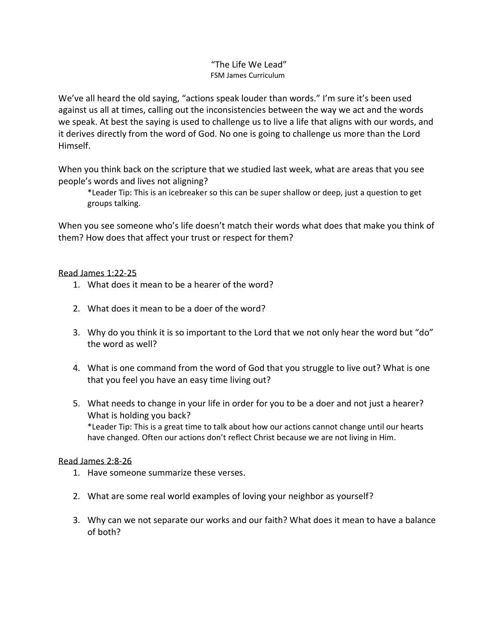## "The Life We Lead" FSM James Curriculum

We've all heard the old saying, "actions speak louder than words." I'm sure it's been used against us all at times, calling out the inconsistencies between the way we act and the words we speak. At best the saying is used to challenge us to live a life that aligns with our words, and it derives directly from the word of God. No one is going to challenge us more than the Lord Himself.

When you think back on the scripture that we studied last week, what are areas that you see people's words and lives not aligning?

\*Leader Tip: This is an icebreaker so this can be super shallow or deep, just a question to get groups talking.

When you see someone who's life doesn't match their words what does that make you think of them? How does that affect your trust or respect for them?

## Read James 1:22-25

- 1. What does it mean to be a hearer of the word?
- 2. What does it mean to be a doer of the word?
- 3. Why do you think it is so important to the Lord that we not only hear the word but "do" the word as well?
- 4. What is one command from the word of God that you struggle to live out? What is one that you feel you have an easy time living out?
- 5. What needs to change in your life in order for you to be a doer and not just a hearer? What is holding you back? \*Leader Tip: This is a great time to talk about how our actions cannot change until our hearts have changed. Often our actions don't reflect Christ because we are not living in Him.

## Read James 2:8-26

- 1. Have someone summarize these verses.
- 2. What are some real world examples of loving your neighbor as yourself?
- 3. Why can we not separate our works and our faith? What does it mean to have a balance of both?